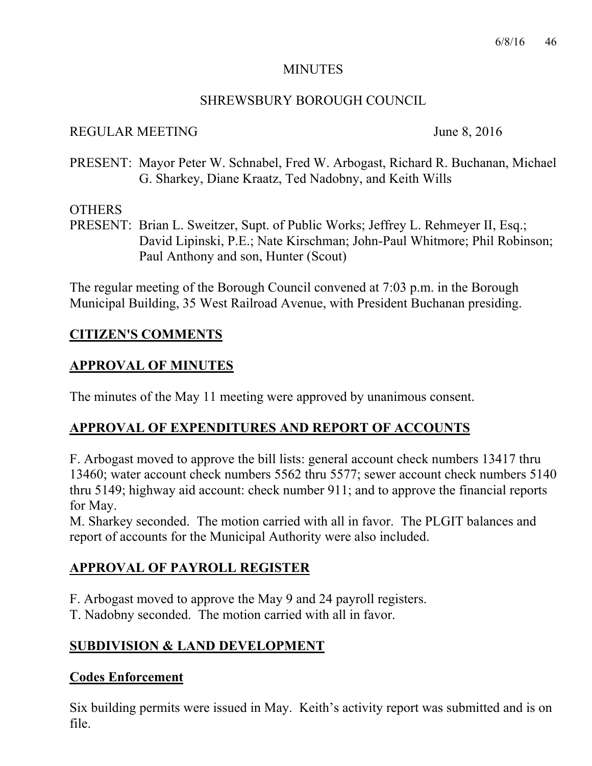### MINUTES

## SHREWSBURY BOROUGH COUNCIL

### REGULAR MEETING June 8, 2016

PRESENT: Mayor Peter W. Schnabel, Fred W. Arbogast, Richard R. Buchanan, Michael G. Sharkey, Diane Kraatz, Ted Nadobny, and Keith Wills

### **OTHERS**

PRESENT: Brian L. Sweitzer, Supt. of Public Works; Jeffrey L. Rehmeyer II, Esq.; David Lipinski, P.E.; Nate Kirschman; John-Paul Whitmore; Phil Robinson; Paul Anthony and son, Hunter (Scout)

The regular meeting of the Borough Council convened at 7:03 p.m. in the Borough Municipal Building, 35 West Railroad Avenue, with President Buchanan presiding.

# **CITIZEN'S COMMENTS**

# **APPROVAL OF MINUTES**

The minutes of the May 11 meeting were approved by unanimous consent.

# **APPROVAL OF EXPENDITURES AND REPORT OF ACCOUNTS**

F. Arbogast moved to approve the bill lists: general account check numbers 13417 thru 13460; water account check numbers 5562 thru 5577; sewer account check numbers 5140 thru 5149; highway aid account: check number 911; and to approve the financial reports for May.

M. Sharkey seconded. The motion carried with all in favor. The PLGIT balances and report of accounts for the Municipal Authority were also included.

# **APPROVAL OF PAYROLL REGISTER**

F. Arbogast moved to approve the May 9 and 24 payroll registers.

T. Nadobny seconded. The motion carried with all in favor.

# **SUBDIVISION & LAND DEVELOPMENT**

### **Codes Enforcement**

Six building permits were issued in May. Keith's activity report was submitted and is on file.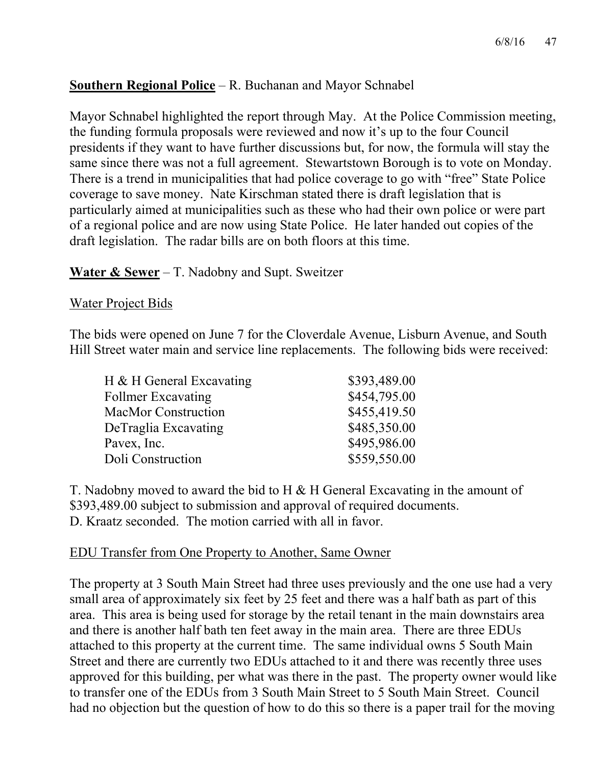# **Southern Regional Police** – R. Buchanan and Mayor Schnabel

Mayor Schnabel highlighted the report through May. At the Police Commission meeting, the funding formula proposals were reviewed and now it's up to the four Council presidents if they want to have further discussions but, for now, the formula will stay the same since there was not a full agreement. Stewartstown Borough is to vote on Monday. There is a trend in municipalities that had police coverage to go with "free" State Police coverage to save money. Nate Kirschman stated there is draft legislation that is particularly aimed at municipalities such as these who had their own police or were part of a regional police and are now using State Police. He later handed out copies of the draft legislation. The radar bills are on both floors at this time.

### **Water & Sewer** – T. Nadobny and Supt. Sweitzer

#### Water Project Bids

The bids were opened on June 7 for the Cloverdale Avenue, Lisburn Avenue, and South Hill Street water main and service line replacements. The following bids were received:

| H & H General Excavating   | \$393,489.00 |
|----------------------------|--------------|
| <b>Follmer Excavating</b>  | \$454,795.00 |
| <b>MacMor Construction</b> | \$455,419.50 |
| DeTraglia Excavating       | \$485,350.00 |
| Pavex, Inc.                | \$495,986.00 |
| Doli Construction          | \$559,550.00 |

T. Nadobny moved to award the bid to H & H General Excavating in the amount of \$393,489.00 subject to submission and approval of required documents. D. Kraatz seconded. The motion carried with all in favor.

### EDU Transfer from One Property to Another, Same Owner

The property at 3 South Main Street had three uses previously and the one use had a very small area of approximately six feet by 25 feet and there was a half bath as part of this area. This area is being used for storage by the retail tenant in the main downstairs area and there is another half bath ten feet away in the main area. There are three EDUs attached to this property at the current time. The same individual owns 5 South Main Street and there are currently two EDUs attached to it and there was recently three uses approved for this building, per what was there in the past. The property owner would like to transfer one of the EDUs from 3 South Main Street to 5 South Main Street. Council had no objection but the question of how to do this so there is a paper trail for the moving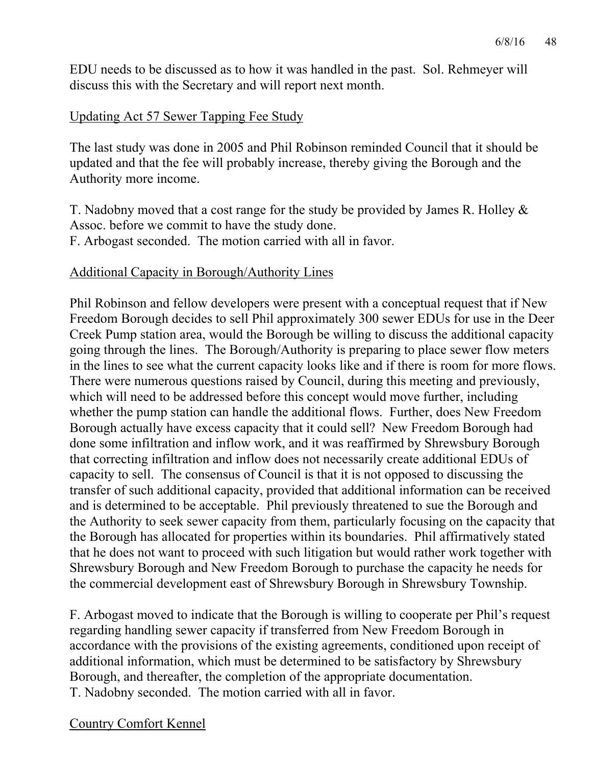EDU needs to be discussed as to how it was handled in the past. Sol. Rehmeyer will discuss this with the Secretary and will report next month.

### Updating Act 57 Sewer Tapping Fee Study

The last study was done in 2005 and Phil Robinson reminded Council that it should be updated and that the fee will probably increase, thereby giving the Borough and the Authority more income.

T. Nadobny moved that a cost range for the study be provided by James R. Holley & Assoc. before we commit to have the study done. F. Arbogast seconded. The motion carried with all in favor.

#### Additional Capacity in Borough/Authority Lines

Phil Robinson and fellow developers were present with a conceptual request that if New Freedom Borough decides to sell Phil approximately 300 sewer EDUs for use in the Deer Creek Pump station area, would the Borough be willing to discuss the additional capacity going through the lines. The Borough/Authority is preparing to place sewer flow meters in the lines to see what the current capacity looks like and if there is room for more flows. There were numerous questions raised by Council, during this meeting and previously, which will need to be addressed before this concept would move further, including whether the pump station can handle the additional flows. Further, does New Freedom Borough actually have excess capacity that it could sell? New Freedom Borough had done some infiltration and inflow work, and it was reaffirmed by Shrewsbury Borough that correcting infiltration and inflow does not necessarily create additional EDUs of capacity to sell. The consensus of Council is that it is not opposed to discussing the transfer of such additional capacity, provided that additional information can be received and is determined to be acceptable. Phil previously threatened to sue the Borough and the Authority to seek sewer capacity from them, particularly focusing on the capacity that the Borough has allocated for properties within its boundaries. Phil affirmatively stated that he does not want to proceed with such litigation but would rather work together with Shrewsbury Borough and New Freedom Borough to purchase the capacity he needs for the commercial development east of Shrewsbury Borough in Shrewsbury Township.

F. Arbogast moved to indicate that the Borough is willing to cooperate per Phil's request regarding handling sewer capacity if transferred from New Freedom Borough in accordance with the provisions of the existing agreements, conditioned upon receipt of additional information, which must be determined to be satisfactory by Shrewsbury Borough, and thereafter, the completion of the appropriate documentation. T. Nadobny seconded. The motion carried with all in favor.

#### Country Comfort Kennel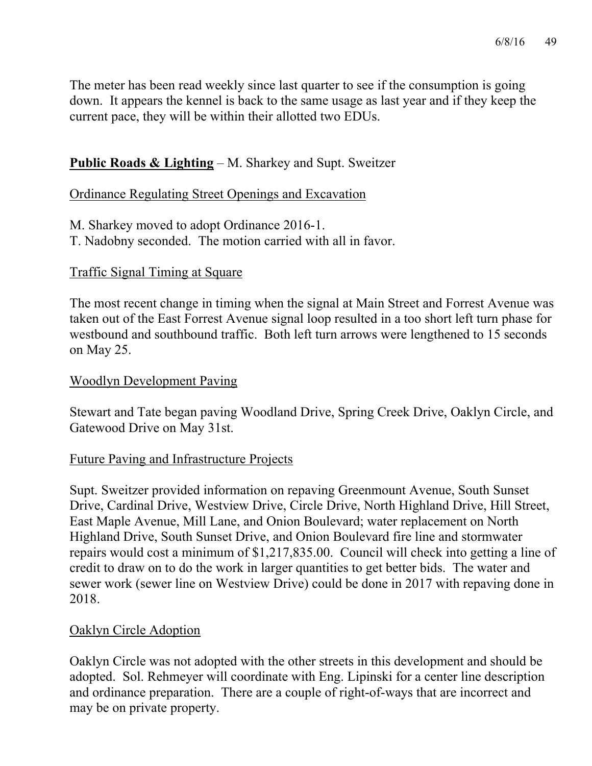The meter has been read weekly since last quarter to see if the consumption is going down. It appears the kennel is back to the same usage as last year and if they keep the current pace, they will be within their allotted two EDUs.

# **Public Roads & Lighting** – M. Sharkey and Supt. Sweitzer

#### Ordinance Regulating Street Openings and Excavation

M. Sharkey moved to adopt Ordinance 2016-1. T. Nadobny seconded. The motion carried with all in favor.

#### Traffic Signal Timing at Square

The most recent change in timing when the signal at Main Street and Forrest Avenue was taken out of the East Forrest Avenue signal loop resulted in a too short left turn phase for westbound and southbound traffic. Both left turn arrows were lengthened to 15 seconds on May 25.

#### Woodlyn Development Paving

Stewart and Tate began paving Woodland Drive, Spring Creek Drive, Oaklyn Circle, and Gatewood Drive on May 31st.

### Future Paving and Infrastructure Projects

Supt. Sweitzer provided information on repaving Greenmount Avenue, South Sunset Drive, Cardinal Drive, Westview Drive, Circle Drive, North Highland Drive, Hill Street, East Maple Avenue, Mill Lane, and Onion Boulevard; water replacement on North Highland Drive, South Sunset Drive, and Onion Boulevard fire line and stormwater repairs would cost a minimum of \$1,217,835.00. Council will check into getting a line of credit to draw on to do the work in larger quantities to get better bids. The water and sewer work (sewer line on Westview Drive) could be done in 2017 with repaving done in 2018.

#### Oaklyn Circle Adoption

Oaklyn Circle was not adopted with the other streets in this development and should be adopted. Sol. Rehmeyer will coordinate with Eng. Lipinski for a center line description and ordinance preparation. There are a couple of right-of-ways that are incorrect and may be on private property.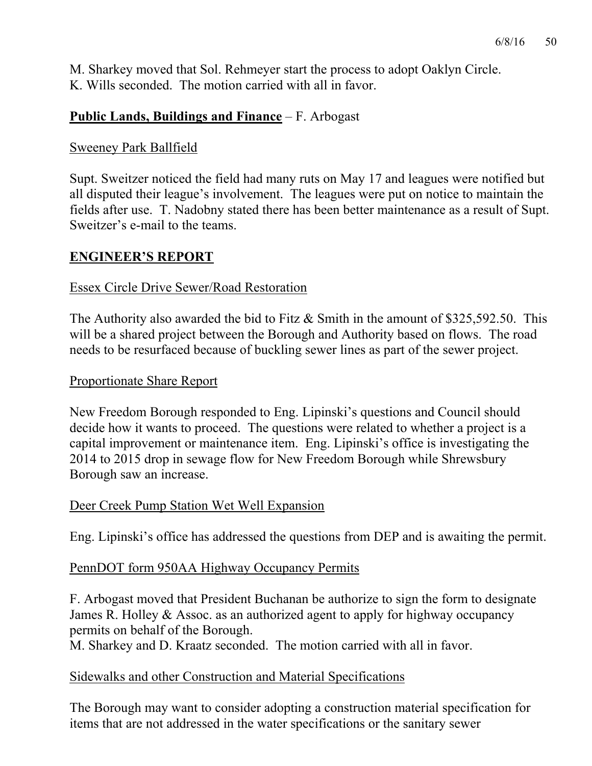M. Sharkey moved that Sol. Rehmeyer start the process to adopt Oaklyn Circle. K. Wills seconded. The motion carried with all in favor.

# **Public Lands, Buildings and Finance** – F. Arbogast

### Sweeney Park Ballfield

Supt. Sweitzer noticed the field had many ruts on May 17 and leagues were notified but all disputed their league's involvement. The leagues were put on notice to maintain the fields after use. T. Nadobny stated there has been better maintenance as a result of Supt. Sweitzer's e-mail to the teams.

### **ENGINEER'S REPORT**

## Essex Circle Drive Sewer/Road Restoration

The Authority also awarded the bid to Fitz & Smith in the amount of \$325,592.50. This will be a shared project between the Borough and Authority based on flows. The road needs to be resurfaced because of buckling sewer lines as part of the sewer project.

### Proportionate Share Report

New Freedom Borough responded to Eng. Lipinski's questions and Council should decide how it wants to proceed. The questions were related to whether a project is a capital improvement or maintenance item. Eng. Lipinski's office is investigating the 2014 to 2015 drop in sewage flow for New Freedom Borough while Shrewsbury Borough saw an increase.

### Deer Creek Pump Station Wet Well Expansion

Eng. Lipinski's office has addressed the questions from DEP and is awaiting the permit.

### PennDOT form 950AA Highway Occupancy Permits

F. Arbogast moved that President Buchanan be authorize to sign the form to designate James R. Holley & Assoc. as an authorized agent to apply for highway occupancy permits on behalf of the Borough.

M. Sharkey and D. Kraatz seconded. The motion carried with all in favor.

### Sidewalks and other Construction and Material Specifications

The Borough may want to consider adopting a construction material specification for items that are not addressed in the water specifications or the sanitary sewer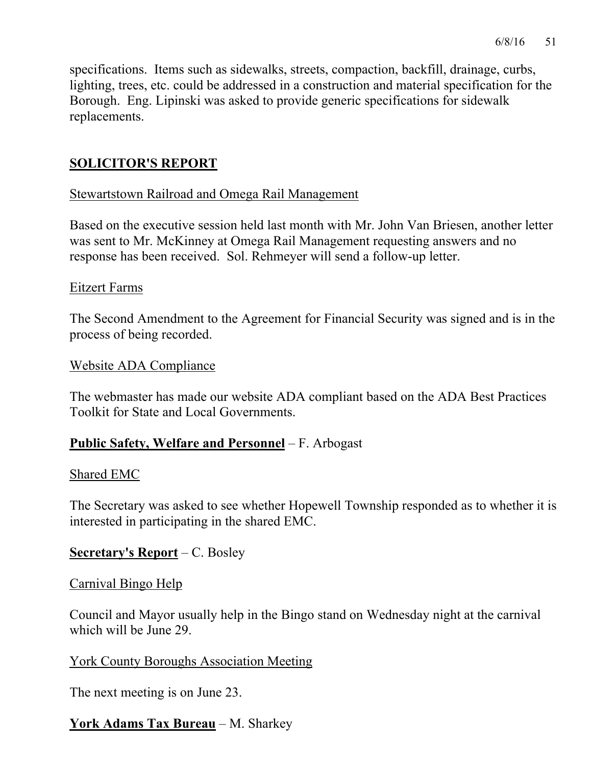specifications. Items such as sidewalks, streets, compaction, backfill, drainage, curbs, lighting, trees, etc. could be addressed in a construction and material specification for the Borough. Eng. Lipinski was asked to provide generic specifications for sidewalk replacements.

# **SOLICITOR'S REPORT**

#### Stewartstown Railroad and Omega Rail Management

Based on the executive session held last month with Mr. John Van Briesen, another letter was sent to Mr. McKinney at Omega Rail Management requesting answers and no response has been received. Sol. Rehmeyer will send a follow-up letter.

#### Eitzert Farms

The Second Amendment to the Agreement for Financial Security was signed and is in the process of being recorded.

#### Website ADA Compliance

The webmaster has made our website ADA compliant based on the ADA Best Practices Toolkit for State and Local Governments.

### **Public Safety, Welfare and Personnel** – F. Arbogast

#### Shared EMC

The Secretary was asked to see whether Hopewell Township responded as to whether it is interested in participating in the shared EMC.

### **Secretary's Report** – C. Bosley

#### Carnival Bingo Help

Council and Mayor usually help in the Bingo stand on Wednesday night at the carnival which will be June 29.

### York County Boroughs Association Meeting

The next meeting is on June 23.

# **York Adams Tax Bureau** – M. Sharkey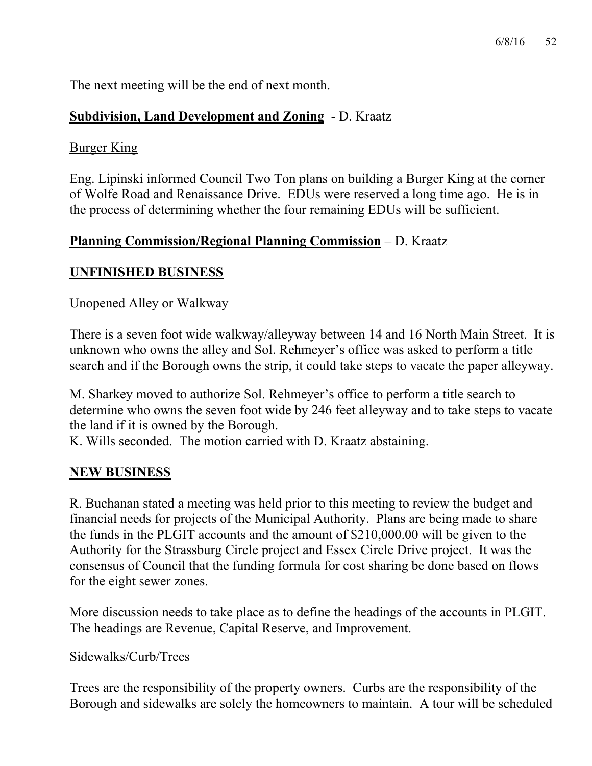The next meeting will be the end of next month.

# **Subdivision, Land Development and Zoning** - D. Kraatz

## Burger King

Eng. Lipinski informed Council Two Ton plans on building a Burger King at the corner of Wolfe Road and Renaissance Drive. EDUs were reserved a long time ago. He is in the process of determining whether the four remaining EDUs will be sufficient.

## **Planning Commission/Regional Planning Commission** – D. Kraatz

# **UNFINISHED BUSINESS**

## Unopened Alley or Walkway

There is a seven foot wide walkway/alleyway between 14 and 16 North Main Street. It is unknown who owns the alley and Sol. Rehmeyer's office was asked to perform a title search and if the Borough owns the strip, it could take steps to vacate the paper alleyway.

M. Sharkey moved to authorize Sol. Rehmeyer's office to perform a title search to determine who owns the seven foot wide by 246 feet alleyway and to take steps to vacate the land if it is owned by the Borough.

K. Wills seconded. The motion carried with D. Kraatz abstaining.

# **NEW BUSINESS**

R. Buchanan stated a meeting was held prior to this meeting to review the budget and financial needs for projects of the Municipal Authority. Plans are being made to share the funds in the PLGIT accounts and the amount of \$210,000.00 will be given to the Authority for the Strassburg Circle project and Essex Circle Drive project. It was the consensus of Council that the funding formula for cost sharing be done based on flows for the eight sewer zones.

More discussion needs to take place as to define the headings of the accounts in PLGIT. The headings are Revenue, Capital Reserve, and Improvement.

### Sidewalks/Curb/Trees

Trees are the responsibility of the property owners. Curbs are the responsibility of the Borough and sidewalks are solely the homeowners to maintain. A tour will be scheduled